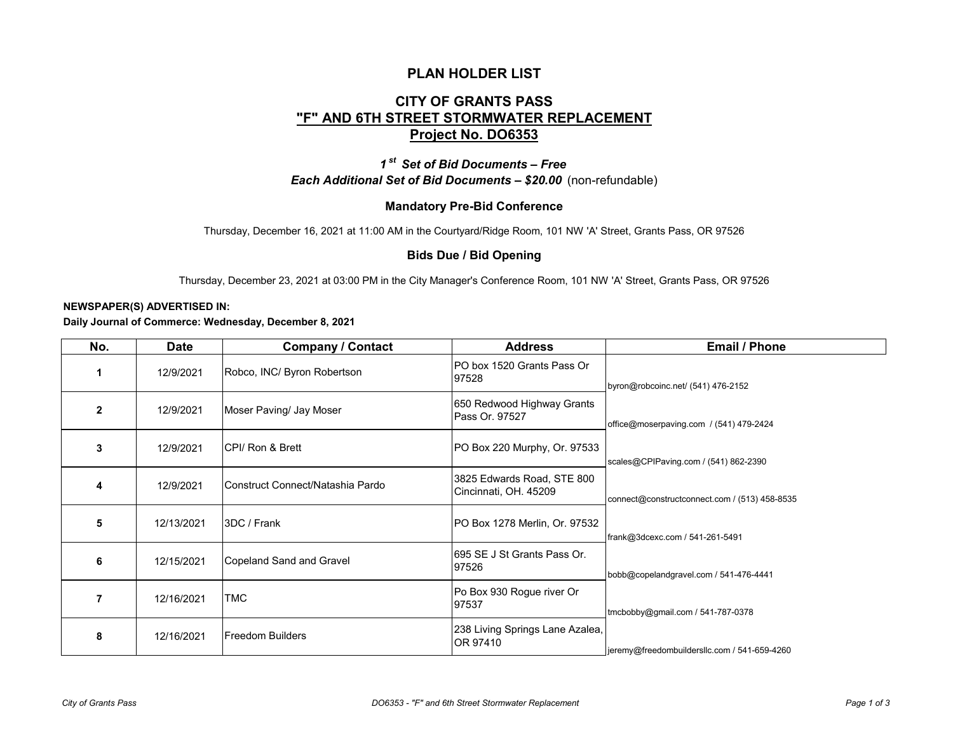### **PLAN HOLDER LIST**

# **CITY OF GRANTS PASS "F" AND 6TH STREET STORMWATER REPLACEMENT Project No. DO6353**

## *1 st Set of Bid Documents – Free Each Additional Set of Bid Documents – \$20.00* (non-refundable)

### **Mandatory Pre-Bid Conference**

Thursday, December 16, 2021 at 11:00 AM in the Courtyard/Ridge Room, 101 NW 'A' Street, Grants Pass, OR 97526

#### **Bids Due / Bid Opening**

Thursday, December 23, 2021 at 03:00 PM in the City Manager's Conference Room, 101 NW 'A' Street, Grants Pass, OR 97526

#### **NEWSPAPER(S) ADVERTISED IN:**

**Daily Journal of Commerce: Wednesday, December 8, 2021**

| No.            | <b>Date</b> | <b>Company / Contact</b>         | <b>Address</b>                                      | <b>Email / Phone</b>                          |
|----------------|-------------|----------------------------------|-----------------------------------------------------|-----------------------------------------------|
|                | 12/9/2021   | Robco, INC/ Byron Robertson      | IPO box 1520 Grants Pass Or<br>97528                | byron@robcoinc.net/ (541) 476-2152            |
| $\overline{2}$ | 12/9/2021   | Moser Paving/ Jay Moser          | 650 Redwood Highway Grants<br>Pass Or. 97527        | office@moserpaving.com / (541) 479-2424       |
| 3              | 12/9/2021   | CPI/ Ron & Brett                 | PO Box 220 Murphy, Or. 97533                        | scales@CPIPaving.com / (541) 862-2390         |
| 4              | 12/9/2021   | Construct Connect/Natashia Pardo | 3825 Edwards Road, STE 800<br>Cincinnati, OH. 45209 | connect@constructconnect.com / (513) 458-8535 |
| 5              | 12/13/2021  | 3DC / Frank                      | PO Box 1278 Merlin, Or. 97532                       | frank@3dcexc.com / 541-261-5491               |
| 6              | 12/15/2021  | Copeland Sand and Gravel         | 1695 SE J St Grants Pass Or.<br>97526               | bobb@copelandgravel.com / 541-476-4441        |
|                | 12/16/2021  | TMC                              | Po Box 930 Rogue river Or<br>97537                  | tmcbobby@gmail.com / 541-787-0378             |
| 8              | 12/16/2021  | <b>Freedom Builders</b>          | 238 Living Springs Lane Azalea,<br><b>IOR 97410</b> | jeremy@freedombuildersllc.com / 541-659-4260  |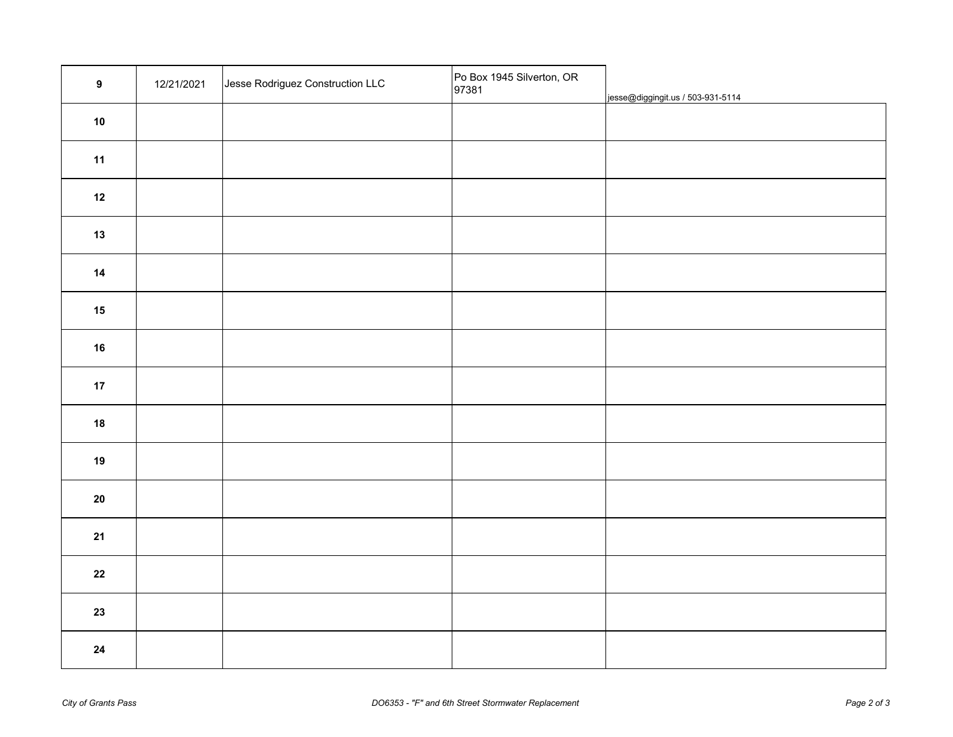| $\boldsymbol{9}$ | 12/21/2021 | Jesse Rodriguez Construction LLC | Po Box 1945 Silverton, OR<br>97381 | jesse@diggingit.us / 503-931-5114 |
|------------------|------------|----------------------------------|------------------------------------|-----------------------------------|
| ${\bf 10}$       |            |                                  |                                    |                                   |
| 11               |            |                                  |                                    |                                   |
| $12$             |            |                                  |                                    |                                   |
| $13$             |            |                                  |                                    |                                   |
| $14$             |            |                                  |                                    |                                   |
| 15               |            |                                  |                                    |                                   |
| ${\bf 16}$       |            |                                  |                                    |                                   |
| $17$             |            |                                  |                                    |                                   |
| ${\bf 18}$       |            |                                  |                                    |                                   |
| 19               |            |                                  |                                    |                                   |
| ${\bf 20}$       |            |                                  |                                    |                                   |
| 21               |            |                                  |                                    |                                   |
| ${\bf 22}$       |            |                                  |                                    |                                   |
| 23               |            |                                  |                                    |                                   |
| ${\bf 24}$       |            |                                  |                                    |                                   |